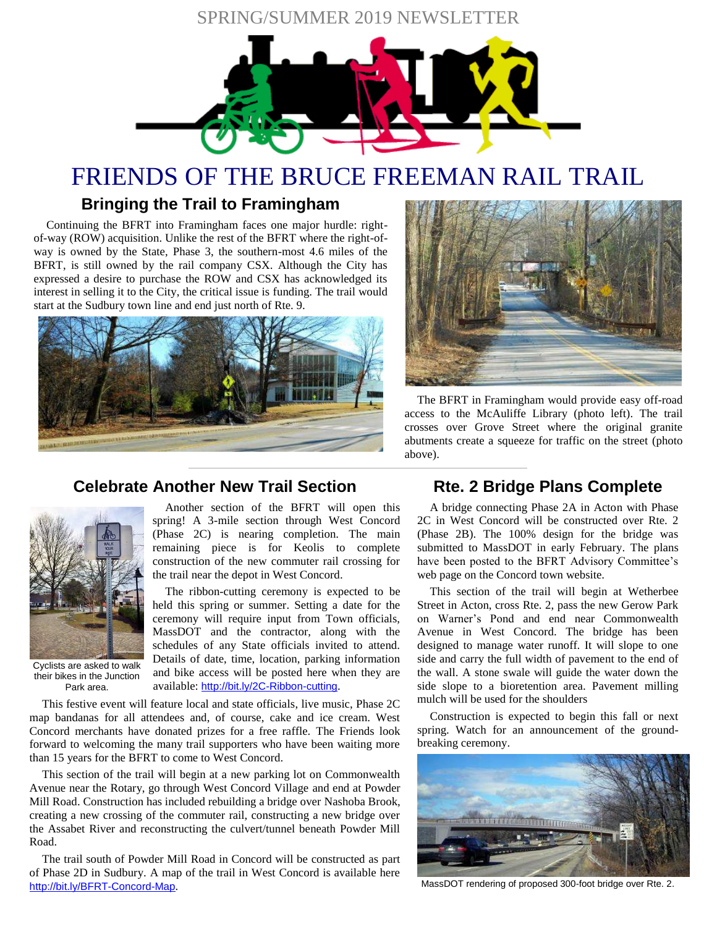# SPRING/SUMMER 2019 NEWSLETTER



# FRIENDS OF THE BRUCE FREEMAN RAIL TRAIL

# **Bringing the Trail to Framingham**

Continuing the BFRT into Framingham faces one major hurdle: rightof-way (ROW) acquisition. Unlike the rest of the BFRT where the right-ofway is owned by the State, Phase 3, the southern-most 4.6 miles of the BFRT, is still owned by the rail company CSX. Although the City has expressed a desire to purchase the ROW and CSX has acknowledged its interest in selling it to the City, the critical issue is funding. The trail would start at the Sudbury town line and end just north of Rte. 9.



**Celebrate Another New Trail Section**



The BFRT in Framingham would provide easy off-road access to the McAuliffe Library (photo left). The trail crosses over Grove Street where the original granite abutments create a squeeze for traffic on the street (photo above).

Cyclists are asked to walk their bikes in the Junction Park area.

Another section of the BFRT will open this spring! A 3-mile section through West Concord (Phase 2C) is nearing completion. The main remaining piece is for Keolis to complete construction of the new commuter rail crossing for

the trail near the depot in West Concord.

The ribbon-cutting ceremony is expected to be held this spring or summer. Setting a date for the ceremony will require input from Town officials, MassDOT and the contractor, along with the schedules of any State officials invited to attend. Details of date, time, location, parking information and bike access will be posted here when they are available: <http://bit.ly/2C-Ribbon-cutting>.

This festive event will feature local and state officials, live music, Phase 2C map bandanas for all attendees and, of course, cake and ice cream. West Concord merchants have donated prizes for a free raffle. The Friends look forward to welcoming the many trail supporters who have been waiting more than 15 years for the BFRT to come to West Concord.

This section of the trail will begin at a new parking lot on Commonwealth Avenue near the Rotary, go through West Concord Village and end at Powder Mill Road. Construction has included rebuilding a bridge over Nashoba Brook, creating a new crossing of the commuter rail, constructing a new bridge over the Assabet River and reconstructing the culvert/tunnel beneath Powder Mill Road.

The trail south of Powder Mill Road in Concord will be constructed as part of Phase 2D in Sudbury. A map of the trail in West Concord is available here <http://bit.ly/BFRT-Concord-Map>.

# **Rte. 2 Bridge Plans Complete**

A bridge connecting Phase 2A in Acton with Phase 2C in West Concord will be constructed over Rte. 2 (Phase 2B). The 100% design for the bridge was submitted to MassDOT in early February. The plans have been posted to the BFRT Advisory Committee's web page on the Concord town website.

This section of the trail will begin at Wetherbee Street in Acton, cross Rte. 2, pass the new Gerow Park on Warner's Pond and end near Commonwealth Avenue in West Concord. The bridge has been designed to manage water runoff. It will slope to one side and carry the full width of pavement to the end of the wall. A stone swale will guide the water down the side slope to a bioretention area. Pavement milling mulch will be used for the shoulders

Construction is expected to begin this fall or next spring. Watch for an announcement of the groundbreaking ceremony.



MassDOT rendering of proposed 300-foot bridge over Rte. 2.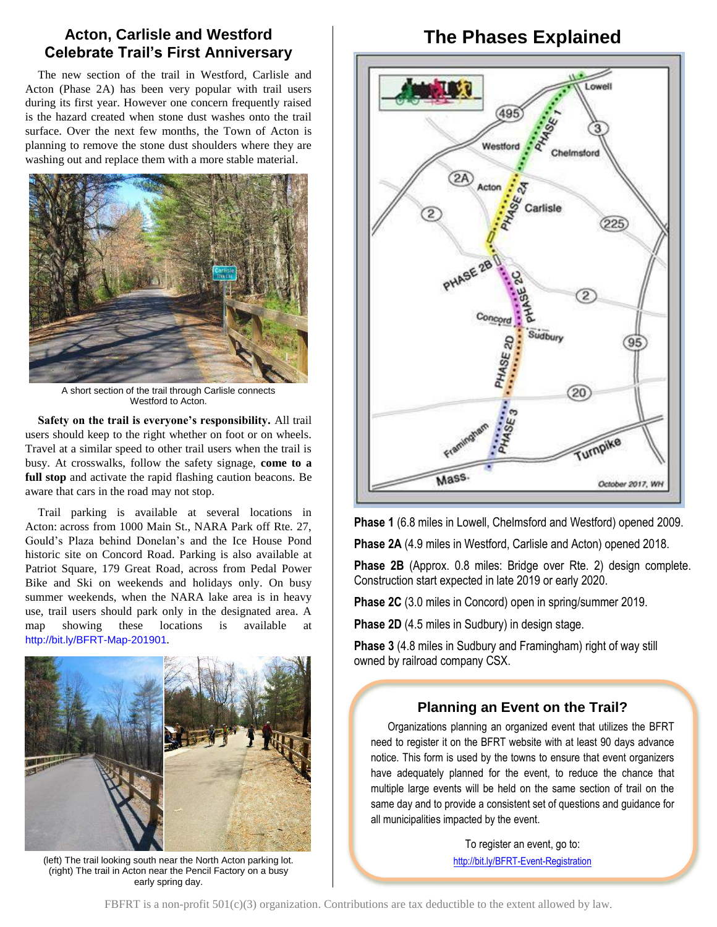# **Acton, Carlisle and Westford Celebrate Trail's First Anniversary**

The new section of the trail in Westford, Carlisle and Acton (Phase 2A) has been very popular with trail users during its first year. However one concern frequently raised is the hazard created when stone dust washes onto the trail surface. Over the next few months, the Town of Acton is planning to remove the stone dust shoulders where they are washing out and replace them with a more stable material.



A short section of the trail through Carlisle connects Westford to Acton.

**Safety on the trail is everyone's responsibility.** All trail users should keep to the right whether on foot or on wheels. Travel at a similar speed to other trail users when the trail is busy. At crosswalks, follow the safety signage, **come to a full stop** and activate the rapid flashing caution beacons. Be aware that cars in the road may not stop.

Trail parking is available at several locations in Acton: across from 1000 Main St., NARA Park off Rte. 27, Gould's Plaza behind Donelan's and the Ice House Pond historic site on Concord Road. Parking is also available at Patriot Square, 179 Great Road, across from Pedal Power Bike and Ski on weekends and holidays only. On busy summer weekends, when the NARA lake area is in heavy use, trail users should park only in the designated area. A map showing these locations is available <http://bit.ly/BFRT-Map-201901>.



(left) The trail looking south near the North Acton parking lot. (right) The trail in Acton near the Pencil Factory on a busy early spring day.

# **The Phases Explained**



**Phase 1** (6.8 miles in Lowell, Chelmsford and Westford) opened 2009.

**Phase 2A** (4.9 miles in Westford, Carlisle and Acton) opened 2018.

**Phase 2B** (Approx. 0.8 miles: Bridge over Rte. 2) design complete. Construction start expected in late 2019 or early 2020.

**Phase 2C** (3.0 miles in Concord) open in spring/summer 2019.

**Phase 2D** (4.5 miles in Sudbury) in design stage.

**Phase 3** (4.8 miles in Sudbury and Framingham) right of way still owned by railroad company CSX.

### **Planning an Event on the Trail?**

Organizations planning an organized event that utilizes the BFRT need to register it on the BFRT website with at least 90 days advance notice. This form is used by the towns to ensure that event organizers have adequately planned for the event, to reduce the chance that multiple large events will be held on the same section of trail on the same day and to provide a consistent set of questions and guidance for all municipalities impacted by the event.

> To register an event, go to: <http://bit.ly/BFRT-Event-Registration>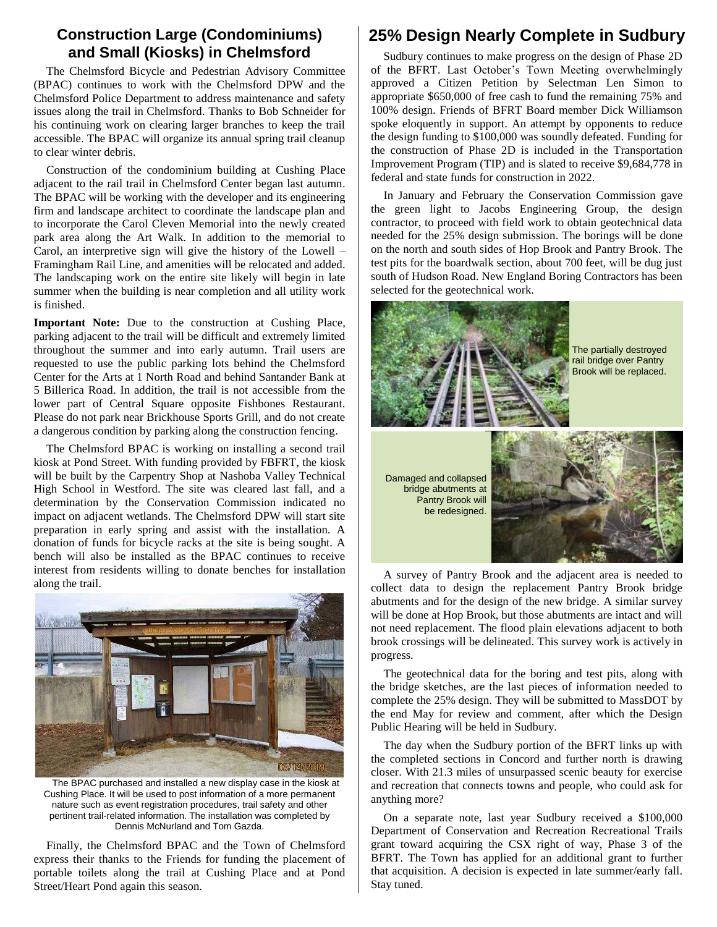## **Construction Large (Condominiums) and Small (Kiosks) in Chelmsford**

The Chelmsford Bicycle and Pedestrian Advisory Committee (BPAC) continues to work with the Chelmsford DPW and the Chelmsford Police Department to address maintenance and safety issues along the trail in Chelmsford. Thanks to Bob Schneider for his continuing work on clearing larger branches to keep the trail accessible. The BPAC will organize its annual spring trail cleanup to clear winter debris.

Construction of the condominium building at Cushing Place adjacent to the rail trail in Chelmsford Center began last autumn. The BPAC will be working with the developer and its engineering firm and landscape architect to coordinate the landscape plan and to incorporate the Carol Cleven Memorial into the newly created park area along the Art Walk. In addition to the memorial to Carol, an interpretive sign will give the history of the Lowell – Framingham Rail Line, and amenities will be relocated and added. The landscaping work on the entire site likely will begin in late summer when the building is near completion and all utility work is finished.

**Important Note:** Due to the construction at Cushing Place, parking adjacent to the trail will be difficult and extremely limited throughout the summer and into early autumn. Trail users are requested to use the public parking lots behind the Chelmsford Center for the Arts at 1 North Road and behind Santander Bank at 5 Billerica Road. In addition, the trail is not accessible from the lower part of Central Square opposite Fishbones Restaurant. Please do not park near Brickhouse Sports Grill, and do not create a dangerous condition by parking along the construction fencing.

The Chelmsford BPAC is working on installing a second trail kiosk at Pond Street. With funding provided by FBFRT, the kiosk will be built by the Carpentry Shop at Nashoba Valley Technical High School in Westford. The site was cleared last fall, and a determination by the Conservation Commission indicated no impact on adjacent wetlands. The Chelmsford DPW will start site preparation in early spring and assist with the installation. A donation of funds for bicycle racks at the site is being sought. A bench will also be installed as the BPAC continues to receive interest from residents willing to donate benches for installation along the trail.



The BPAC purchased and installed a new display case in the kiosk at Cushing Place. It will be used to post information of a more permanent nature such as event registration procedures, trail safety and other pertinent trail-related information. The installation was completed by Dennis McNurland and Tom Gazda.

Finally, the Chelmsford BPAC and the Town of Chelmsford express their thanks to the Friends for funding the placement of portable toilets along the trail at Cushing Place and at Pond Street/Heart Pond again this season.

# **25% Design Nearly Complete in Sudbury**

Sudbury continues to make progress on the design of Phase 2D of the BFRT. Last October's Town Meeting overwhelmingly approved a Citizen Petition by Selectman Len Simon to appropriate \$650,000 of free cash to fund the remaining 75% and 100% design. Friends of BFRT Board member Dick Williamson spoke eloquently in support. An attempt by opponents to reduce the design funding to \$100,000 was soundly defeated. Funding for the construction of Phase 2D is included in the Transportation Improvement Program (TIP) and is slated to receive \$9,684,778 in federal and state funds for construction in 2022.

In January and February the Conservation Commission gave the green light to Jacobs Engineering Group, the design contractor, to proceed with field work to obtain geotechnical data needed for the 25% design submission. The borings will be done on the north and south sides of Hop Brook and Pantry Brook. The test pits for the boardwalk section, about 700 feet, will be dug just south of Hudson Road. New England Boring Contractors has been selected for the geotechnical work.



abutments and for the design of the new bridge. A similar survey will be done at Hop Brook, but those abutments are intact and will not need replacement. The flood plain elevations adjacent to both brook crossings will be delineated. This survey work is actively in progress.

The geotechnical data for the boring and test pits, along with the bridge sketches, are the last pieces of information needed to complete the 25% design. They will be submitted to MassDOT by the end May for review and comment, after which the Design Public Hearing will be held in Sudbury.

The day when the Sudbury portion of the BFRT links up with the completed sections in Concord and further north is drawing closer. With 21.3 miles of unsurpassed scenic beauty for exercise and recreation that connects towns and people, who could ask for anything more?

On a separate note, last year Sudbury received a \$100,000 Department of Conservation and Recreation Recreational Trails grant toward acquiring the CSX right of way, Phase 3 of the BFRT. The Town has applied for an additional grant to further that acquisition. A decision is expected in late summer/early fall. Stay tuned.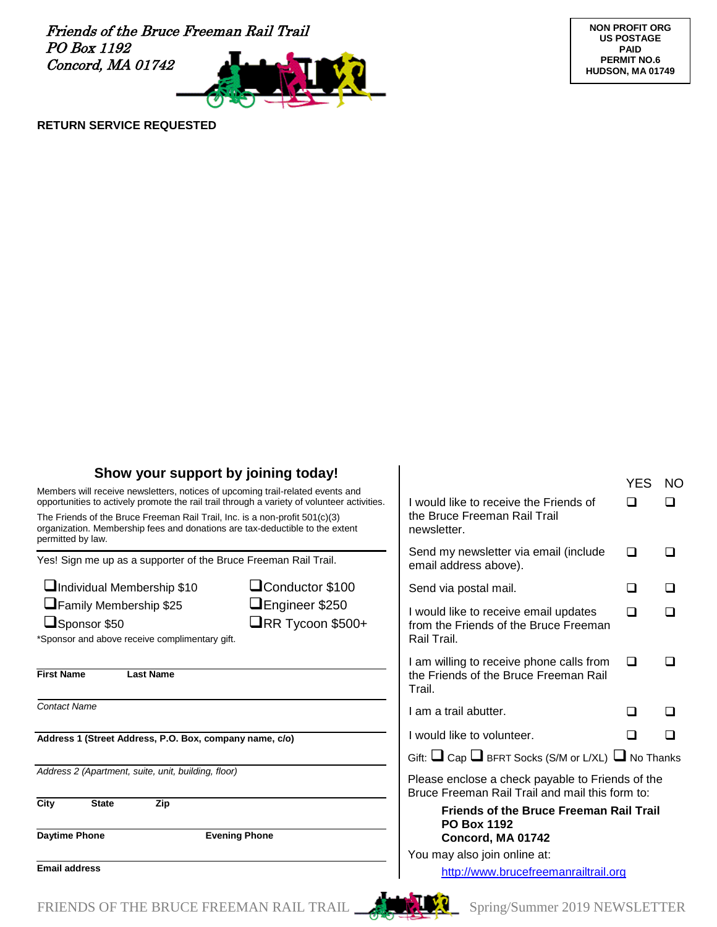Friends of the Bruce Freeman Rail Trail PO Box 1192 Concord, MA 01742



**NON PROFIT ORG US POSTAGE PAID PERMIT NO.6 HUDSON, MA 01749**

#### **RETURN SERVICE REQUESTED**

| Show your support by joining today!<br>Members will receive newsletters, notices of upcoming trail-related events and<br>opportunities to actively promote the rail trail through a variety of volunteer activities.<br>The Friends of the Bruce Freeman Rail Trail, Inc. is a non-profit 501(c)(3)<br>organization. Membership fees and donations are tax-deductible to the extent<br>permitted by law. |                                                  | I would like to receive the Friends of<br>the Bruce Freeman Rail Trail<br>newsletter.               | YES | NO. |
|----------------------------------------------------------------------------------------------------------------------------------------------------------------------------------------------------------------------------------------------------------------------------------------------------------------------------------------------------------------------------------------------------------|--------------------------------------------------|-----------------------------------------------------------------------------------------------------|-----|-----|
|                                                                                                                                                                                                                                                                                                                                                                                                          |                                                  |                                                                                                     |     |     |
| Individual Membership \$10                                                                                                                                                                                                                                                                                                                                                                               | Conductor \$100                                  | Send via postal mail.                                                                               | ◻   |     |
| Family Membership \$25<br>Sponsor \$50<br>*Sponsor and above receive complimentary gift.                                                                                                                                                                                                                                                                                                                 | $\Box$ Engineer \$250<br>$\Box$ RR Tycoon \$500+ | I would like to receive email updates<br>from the Friends of the Bruce Freeman<br>Rail Trail.       | □   |     |
| <b>First Name</b><br><b>Last Name</b>                                                                                                                                                                                                                                                                                                                                                                    |                                                  | I am willing to receive phone calls from<br>the Friends of the Bruce Freeman Rail<br>Trail.         | □   |     |
| <b>Contact Name</b>                                                                                                                                                                                                                                                                                                                                                                                      |                                                  | I am a trail abutter.                                                                               | l 1 |     |
| Address 1 (Street Address, P.O. Box, company name, c/o)                                                                                                                                                                                                                                                                                                                                                  |                                                  | I would like to volunteer.                                                                          | l 1 |     |
|                                                                                                                                                                                                                                                                                                                                                                                                          |                                                  | Gift: $\Box$ Cap $\Box$ BFRT Socks (S/M or L/XL) $\Box$ No Thanks                                   |     |     |
| Address 2 (Apartment, suite, unit, building, floor)                                                                                                                                                                                                                                                                                                                                                      |                                                  | Please enclose a check payable to Friends of the<br>Bruce Freeman Rail Trail and mail this form to: |     |     |
| City<br><b>State</b><br>Zip                                                                                                                                                                                                                                                                                                                                                                              |                                                  | <b>Friends of the Bruce Freeman Rail Trail</b><br><b>PO Box 1192</b>                                |     |     |
| <b>Daytime Phone</b><br><b>Evening Phone</b><br><b>Email address</b>                                                                                                                                                                                                                                                                                                                                     |                                                  | Concord, MA 01742                                                                                   |     |     |
|                                                                                                                                                                                                                                                                                                                                                                                                          |                                                  | You may also join online at:<br>http://www.brucefreemanrailtrail.org                                |     |     |
|                                                                                                                                                                                                                                                                                                                                                                                                          |                                                  |                                                                                                     |     |     |

FRIENDS OF THE BRUCE FREEMAN RAIL TRAIL  $\begin{matrix} 1 & 1 \\ 1 & 2 \end{matrix}$  Spring/Summer 2019 NEWSLETTER

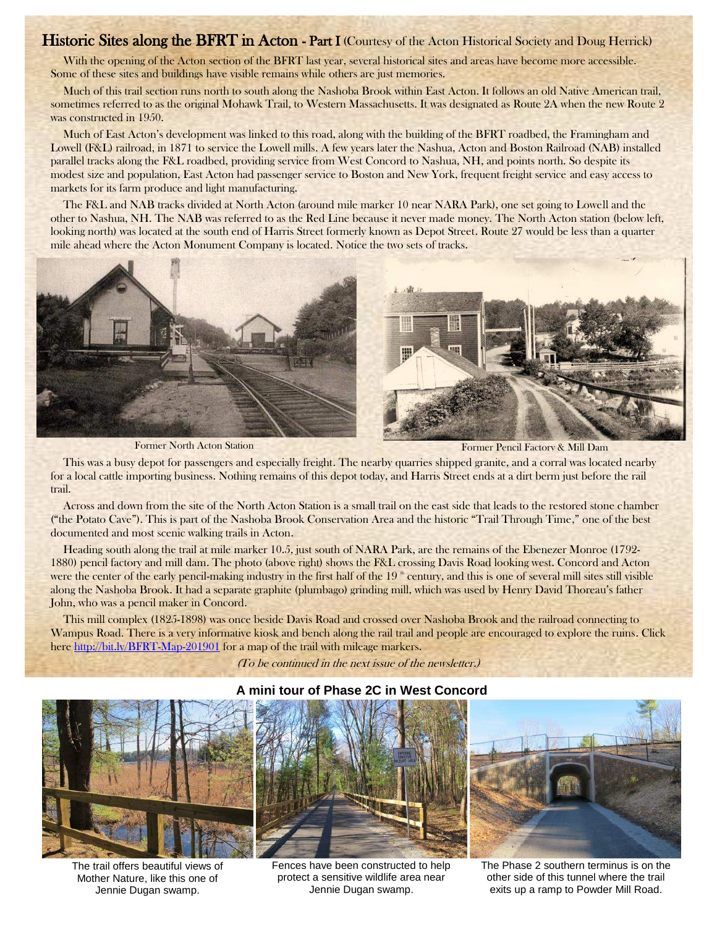## Historic Sites along the BFRT in Acton - Part I (Courtesy of the Acton Historical Society and Doug Herrick)

With the opening of the Acton section of the BFRT last year, several historical sites and areas have become more accessible. Some of these sites and buildings have visible remains while others are just memories.

Much of this trail section runs north to south along the Nashoba Brook within East Acton. It follows an old Native American trail, sometimes referred to as the original Mohawk Trail, to Western Massachusetts. It was designated as Route 2A when the new Route 2 was constructed in 1950.

Much of East Acton's development was linked to this road, along with the building of the BFRT roadbed, the Framingham and Lowell (F&L) railroad, in 1871 to service the Lowell mills. A few years later the Nashua, Acton and Boston Railroad (NAB) installed parallel tracks along the F&L roadbed, providing service from West Concord to Nashua, NH, and points north. So despite its modest size and population, East Acton had passenger service to Boston and New York, frequent freight service and easy access to markets for its farm produce and light manufacturing.

The F&L and NAB tracks divided at North Acton (around mile marker 10 near NARA Park), one set going to Lowell and the other to Nashua, NH. The NAB was referred to as the Red Line because it never made money. The North Acton station (below left, looking north) was located at the south end of Harris Street formerly known as Depot Street. Route 27 would be less than a quarter mile ahead where the Acton Monument Company is located. Notice the two sets of tracks.



Former North Acton Station Former Pencil Factory & Mill Dam

This was a busy depot for passengers and especially freight. The nearby quarries shipped granite, and a corral was located nearby for a local cattle importing business. Nothing remains of this depot today, and Harris Street ends at a dirt berm just before the rail trail.

Across and down from the site of the North Acton Station is a small trail on the east side that leads to the restored stone chamber ("the Potato Cave"). This is part of the Nashoba Brook Conservation Area and the historic "Trail Through Time," one of the best documented and most scenic walking trails in Acton.

Heading south along the trail at mile marker 10.5, just south of NARA Park, are the remains of the Ebenezer Monroe (1792- 1880) pencil factory and mill dam. The photo (above right) shows the F&L crossing Davis Road looking west. Concord and Acton were the center of the early pencil-making industry in the first half of the  $19$   $^{\circ}$  century, and this is one of several mill sites still visible along the Nashoba Brook. It had a separate graphite (plumbago) grinding mill, which was used by Henry David Thoreau's father John, who was a pencil maker in Concord.

This mill complex (1825-1898) was once beside Davis Road and crossed over Nashoba Brook and the railroad connecting to Wampus Road. There is a very informative kiosk and bench along the rail trail and people are encouraged to explore the ruins. Click here<http://bit.ly/BFRT-Map-201901> for a map of the trail with mileage markers.

(To be continued in the next issue of the newsletter.)



The trail offers beautiful views of Mother Nature, like this one of Jennie Dugan swamp.



Fences have been constructed to help protect a sensitive wildlife area near Jennie Dugan swamp.



The Phase 2 southern terminus is on the other side of this tunnel where the trail exits up a ramp to Powder Mill Road.

#### **A mini tour of Phase 2C in West Concord**